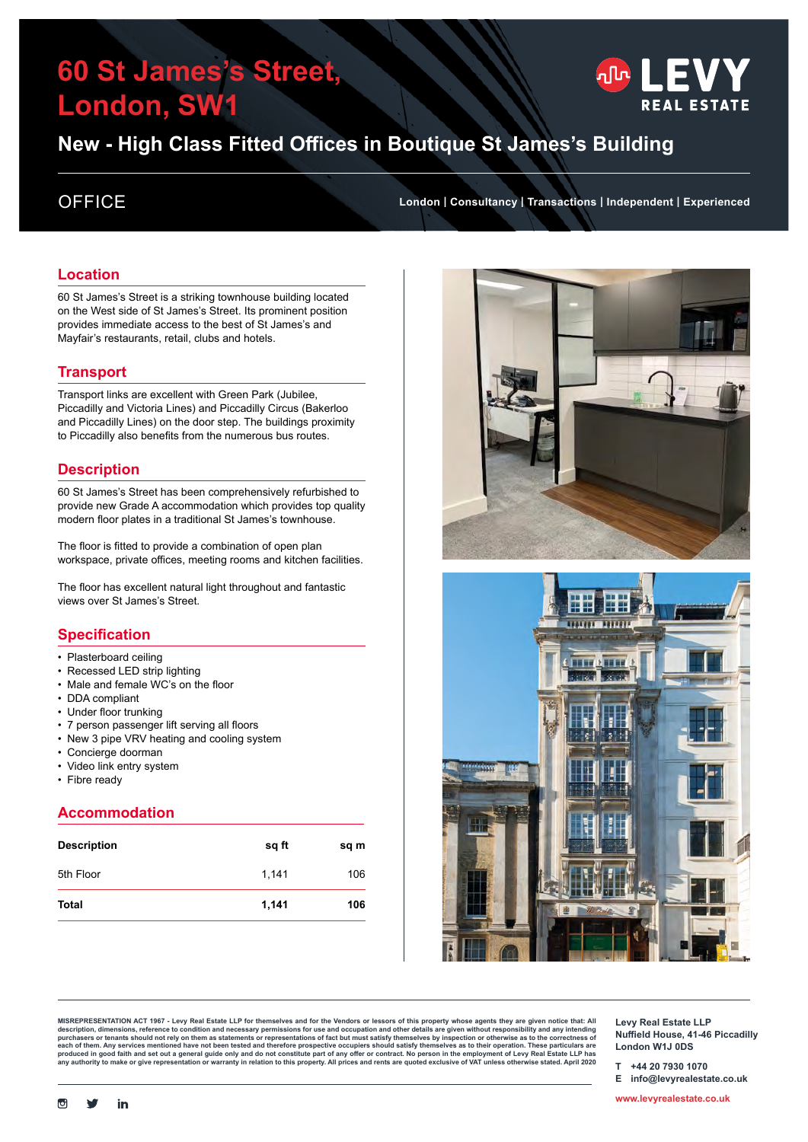# **60 St James's Street, London, SW1**



## **New - High Class Fitted Offices in Boutique St James's Building**

### **Location**

60 St James's Street is a striking townhouse building located on the West side of St James's Street. Its prominent position provides immediate access to the best of St James's and Mayfair's restaurants, retail, clubs and hotels.

### **Transport**

Transport links are excellent with Green Park (Jubilee, Piccadilly and Victoria Lines) and Piccadilly Circus (Bakerloo and Piccadilly Lines) on the door step. The buildings proximity to Piccadilly also benefits from the numerous bus routes.

### **Description**

60 St James's Street has been comprehensively refurbished to provide new Grade A accommodation which provides top quality modern floor plates in a traditional St James's townhouse.

The floor is fitted to provide a combination of open plan workspace, private offices, meeting rooms and kitchen facilities.

The floor has excellent natural light throughout and fantastic views over St James's Street.

### **Specification**

- Plasterboard ceiling
- Recessed LED strip lighting
- Male and female WC's on the floor
- DDA compliant
- Under floor trunking
- 7 person passenger lift serving all floors
- New 3 pipe VRV heating and cooling system
- Concierge doorman
- Video link entry system
- Fibre ready

### **Accommodation**

| <b>Description</b> | sq ft | sq m |
|--------------------|-------|------|
| 5th Floor          | 1,141 | 106  |
| <b>Total</b>       | 1,141 | 106  |

OFFICE **London | Consultancy | Transactions | Independent | Experienced**





**MISREPRESENTATION ACT 1967 - Levy Real Estate LLP for themselves and for the Vendors or lessors of this property whose agents they are given notice that: All**  description, dimensions, reference to condition and necessary permissions for use and occupation and other details are given without responsibility and any intending<br>purchasers or tenants should not rely on them as stateme **Levy Real Estate LLP Nuffield House, 41-46 Piccadilly London W1J 0DS**

**T +44 20 7930 1070**

**E info@levyrealestate.co.uk**

**<www.levyrealestate.co.uk>**

 $\overline{C}$ 

in